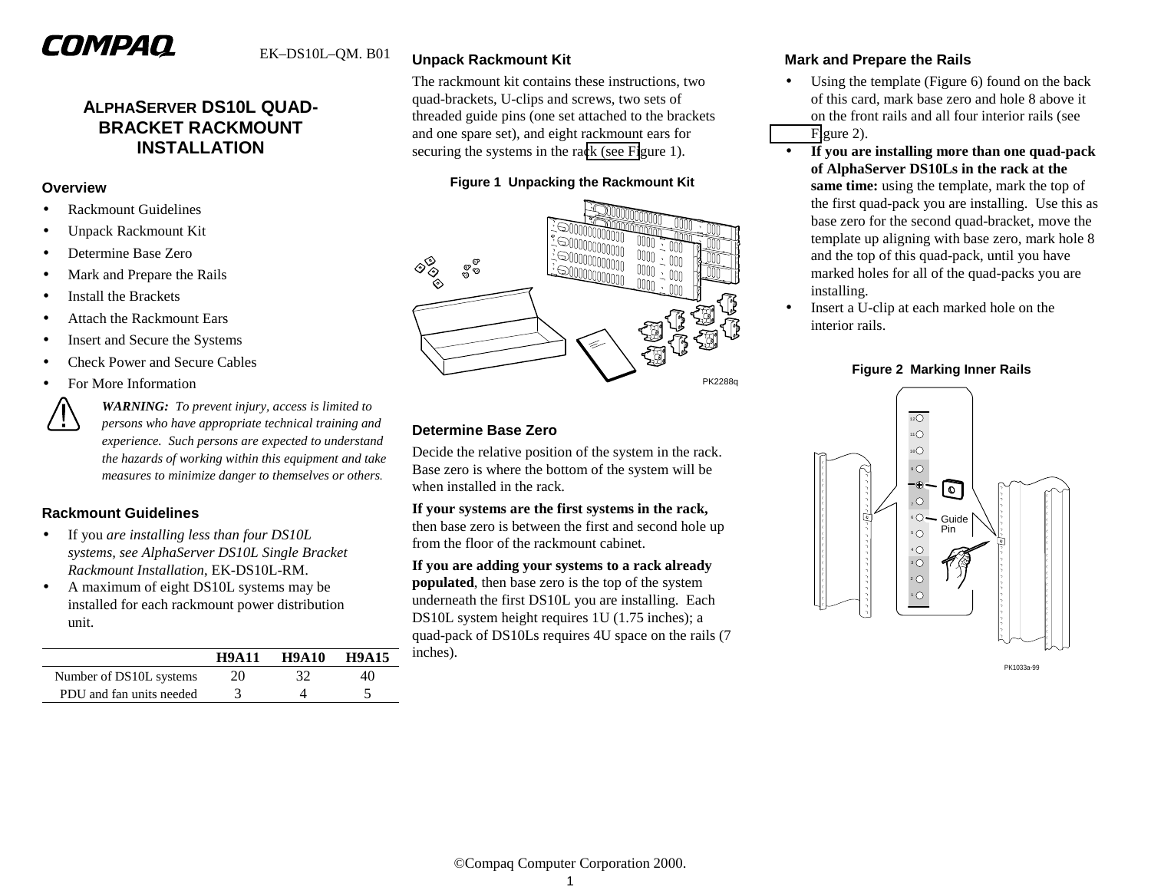# COMPAQ

## **ALPHASERVER DS10L QUAD-BRACKET RACKMOUNT INSTALLATION**

#### **Overview**

- •Rackmount Guidelines
- •Unpack Rackmount Kit
- •Determine Base Zero
- •Mark and Prepare the Rails
- •Install the Brackets
- •Attach the Rackmount Ears
- •Insert and Secure the Systems
- •Check Power and Secure Cables
- •For More Information



*WARNING: To prevent injury, access is limited to persons who have appropriate technical training and experience. Such persons are expected to understand the hazards of working within this equipment and take measures to minimize danger to themselves or others.*

## **Rackmount Guidelines**

- • If you *are installing less than four DS10L systems, see AlphaServer DS10L Single Bracket Rackmount Installation*, EK-DS10L-RM.
- • A maximum of eight DS10L systems may be installed for each rackmount power distribution unit.

|                          | <b>H9A11</b> | <b>H9A10</b> | <b>H9A15</b> |
|--------------------------|--------------|--------------|--------------|
| Number of DS10L systems  | 20           | 37           |              |
| PDU and fan units needed |              |              |              |

## **Unpack Rackmount Kit**

The rackmount kit contains these instructions, two quad-brackets, U-clips and screws, two sets of threaded guide pins (one set attached to the brackets and one spare set), and eight rackmount ears for securing the systems in the rack (see Figure 1).

## **Figure 1 Unpacking the Rackmount Kit**



## **Determine Base Zero**

Decide the relative position of the system in the rack. Base zero is where the bottom of the system will be when installed in the rack.

**If your systems are the first systems in the rack,** then base zero is between the first and second hole up from the floor of the rackmount cabinet.

**If you are adding your systems to a rack already populated**, then base zero is the top of the system underneath the first DS10L you are installing. Each DS10L system height requires 1U (1.75 inches); a quad-pack of DS10Ls requires 4U space on the rails (7 inches).

## **Mark and Prepare the Rails**

- $\bullet$  Using the template (Figure 6) found on the back of this card, mark base zero and hole 8 above it on the front rails and all four interior rails (see Figure 2).
- • **If you are installing more than one quad-pack of AlphaServer DS10Ls in the rack at the same time:** using the template, mark the top of the first quad-pack you are installing. Use this as base zero for the second quad-bracket, move the template up aligning with base zero, mark hole 8 and the top of this quad-pack, until you have marked holes for all of the quad-packs you are installing.
- • Insert a U-clip at each marked hole on the interior rails.

#### **Figure 2 Marking Inner Rails**



PK1033a-99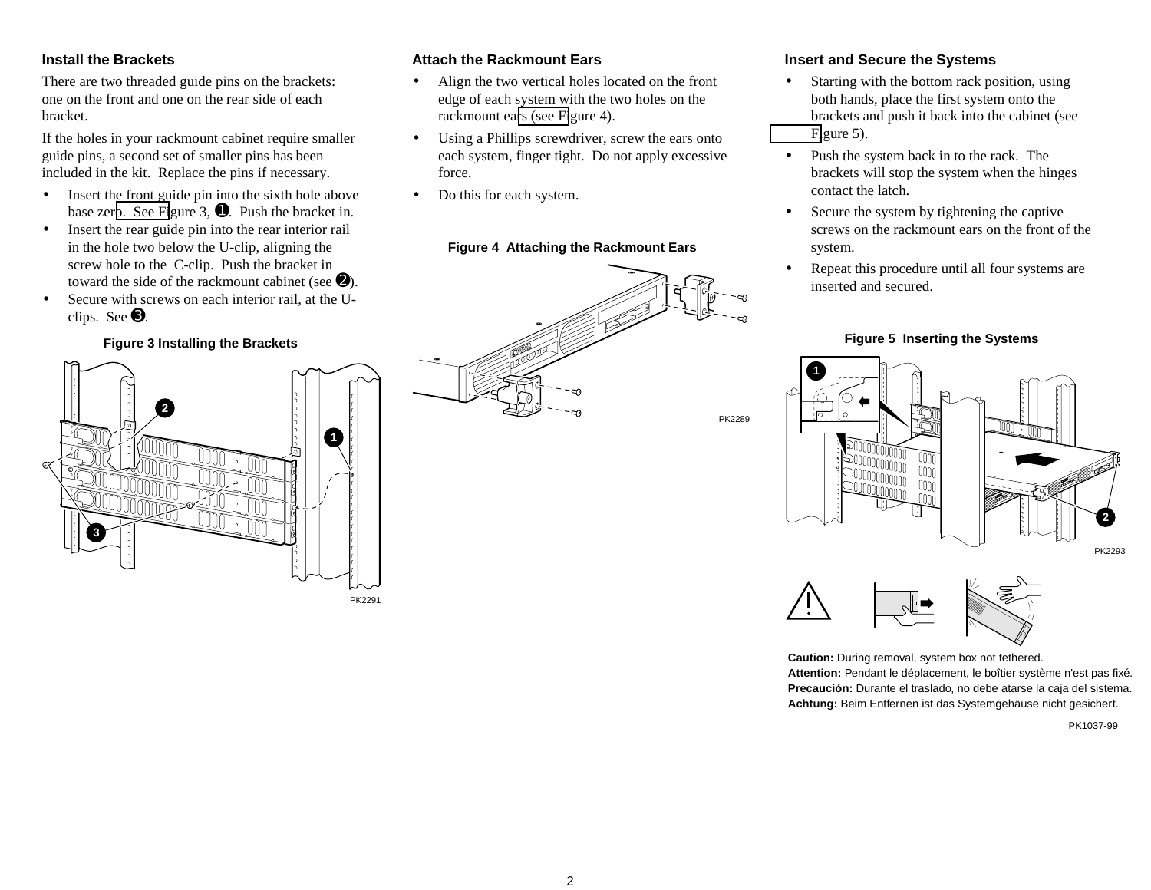## **Install the Brackets**

There are two threaded guide pins on the brackets: one on the front and one on the rear side of each bracket.

If the holes in your rackmount cabinet require smaller guide pins, a second set of smaller pins has been included in the kit. Replace the pins if necessary.

- • Insert the front guide pin into the sixth hole above base zero. See Figure 3,  $\bullet$ . Push the bracket in.
- • Insert the rear guide pin into the rear interior rail in the hole two below the U-clip, aligning the screw hole to the C-clip. Push the bracket in toward the side of the rackmount cabinet (see  $\Theta$ ).
- • Secure with screws on each interior rail, at the Uclips. See ➌.

## **Figure 3 Installing the Brackets**



## **Attach the Rackmount Ears**

- • Align the two vertical holes located on the front edge of each system with the two holes on the rackmount ears (see Figure 4).
- Using a Phillips screwdriver, screw the ears onto each system, finger tight. Do not apply excessive force.
- •Do this for each system.

## **Figure 4 Attaching the Rackmount Ears**



## **Insert and Secure the Systems**

- • Starting with the bottom rack position, using both hands, place the first system onto the brackets and push it back into the cabinet (see Figure 5).
- $\bullet$  Push the system back in to the rack. The brackets will stop the system when the hinges contact the latch.
- $\bullet$  Secure the system by tightening the captive screws on the rackmount ears on the front of the system.
- • Repeat this procedure until all four systems are inserted and secured.

#### **Figure 5 Inserting the Systems**





**Caution:** During removal, system box not tethered. **Attention:** Pendant le déplacement, le boîtier système n'est pas fixé. **Precaución:** Durante el traslado, no debe atarse la caja del sistema. **Achtung:** Beim Entfernen ist das Systemgehäuse nicht gesichert.

PK1037-99